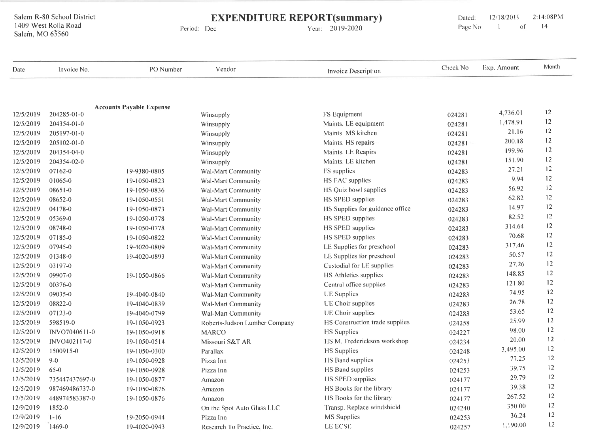**EXPENDITURE REPORT(summary)** 

Period: Dec

Year: 2019-2020

2:14:08PM Dated: 12/18/2019  $14$ Page No:  $\sim1$  $\circ$  of

| Date      | Invoice No.    | PO Number                       | Vendor                        | Invoice Description             | Check No | Exp. Amount | Month |
|-----------|----------------|---------------------------------|-------------------------------|---------------------------------|----------|-------------|-------|
|           |                |                                 |                               |                                 |          |             |       |
| 12/5/2019 | 204285-01-0    | <b>Accounts Payable Expense</b> | Winsupply                     | FS Equipment                    | 024281   | 4,736.01    | 12    |
| 12/5/2019 | 204354-01-0    |                                 | Winsupply                     | Maints. LE equipment            | 024281   | 1,478.91    | 12    |
| 12/5/2019 | 205197-01-0    |                                 | Winsupply                     | Maints. MS kitchen              | 024281   | 21.16       | 12    |
| 12/5/2019 | 205102-01-0    |                                 | Winsupply                     | Maints. HS repairs              | 024281   | 200.18      | 12    |
| 12/5/2019 | 204354-04-0    |                                 | Winsupply                     | Maints. LE Reapirs              | 024281   | 199.96      | 12    |
| 12/5/2019 | 204354-02-0    |                                 | Winsupply                     | Maints. LE kitchen              | 024281   | 151.90      | 12    |
| 12/5/2019 | 07162-0        | 19-9380-0805                    | Wal-Mart Community            | FS supplies                     | 024283   | 27.21       | 12    |
| 12/5/2019 | 01065-0        | 19-1050-0823                    | Wal-Mart Community            | HS FAC supplies                 | 024283   | 9.94        | 12    |
| 12/5/2019 | $08651 - 0$    | 19-1050-0836                    | Wal-Mart Community            | HS Quiz bowl supplies           | 024283   | 56.92       | 12    |
| 12/5/2019 | 08652-0        | 19-1050-0551                    | <b>Wal-Mart Community</b>     | HS SPED supplies                | 024283   | 62.82       | 12    |
| 12/5/2019 | 04178-0        | 19-1050-0873                    | Wal-Mart Community            | HS Supplies for guidance office | 024283   | 14.97       | 12    |
| 12/5/2019 | 05369-0        | 19-1050-0778                    | Wal-Mart Community            | HS SPED supplies                | 024283   | 82.52       | 12    |
| 12/5/2019 | 08748-0        | 19-1050-0778                    | Wal-Mart Community            | HS SPED supplies                | 024283   | 314.64      | 12    |
| 12/5/2019 | 07185-0        | 19-1050-0822                    | Wal-Mart Community            | HS SPED supplies                | 024283   | 70.68       | 12    |
| 12/5/2019 | 07945-0        | 19-4020-0809                    | Wal-Mart Community            | LE Supplies for preschool       | 024283   | 317.46      | 12    |
| 12/5/2019 | $01348 - 0$    | 19-4020-0893                    | Wal-Mart Community            | LE Supplies for preschool       | 024283   | 50.57       | 12    |
| 12/5/2019 | 03197-0        |                                 | <b>Wal-Mart Community</b>     | Custodial for LE supplies       | 024283   | 27.26       | 12    |
| 12/5/2019 | 09907-0        | 19-1050-0866                    | Wal-Mart Community            | <b>HS Athletics supplies</b>    | 024283   | 148.85      | 12    |
| 12/5/2019 | 00376-0        |                                 | Wal-Mart Community            | Central office supplies         | 024283   | 121.80      | 12    |
| 12/5/2019 | 09035-0        | 19-4040-0840                    | Wal-Mart Community            | <b>UE</b> Supplies              | 024283   | 74.95       | 12    |
| 12/5/2019 | 08822-0        | 19-4040-0839                    | Wal-Mart Community            | UE Choir supplies               | 024283   | 26.78       | 12    |
| 12/5/2019 | 07123-0        | 19-4040-0799                    | Wal-Mart Community            | UE Choir supplies               | 024283   | 53.65       | 12    |
| 12/5/2019 | 598519-0       | 19-1050-0923                    | Roberts-Judson Lumber Company | HS Construction trade supplies  | 024258   | 25.99       | 12    |
| 12/5/2019 | INVO7040611-0  | 19-1050-0918                    | <b>MARCO</b>                  | <b>HS</b> Supplies              | 024227   | 98.00       | 12    |
| 12/5/2019 | INVO402117-0   | 19-1050-0514                    | Missouri S&T AR               | HS M. Frederickson workshop     | 024234   | 20.00       | 12    |
| 12/5/2019 | 1500915-0      | 19-1050-0300                    | Parallax                      | <b>HS</b> Supplies              | 024248   | 3,495.00    | 12    |
| 12/5/2019 | $9-0$          | 19-1050-0928                    | Pizza Inn                     | HS Band supplies                | 024253   | 77.25       | 12    |
| 12/5/2019 | $65-0$         | 19-1050-0928                    | Pizza Inn                     | HS Band supplies                | 024253   | 39.75       | 12    |
| 12/5/2019 | 735447437697-0 | 19-1050-0877                    | Amazon                        | HS SPED supplies                | 024177   | 29.79       | 12    |
| 12/5/2019 | 987469486737-0 | 19-1050-0876                    | Amazon                        | HS Books for the library        | 024177   | 39.38       | 12    |
| 12/5/2019 | 448974583387-0 | 19-1050-0876                    | Amazon                        | HS Books for the library        | 024177   | 267.52      | 12    |
| 12/9/2019 | 1852-0         |                                 | On the Spot Auto Glass LLC    | Transp. Replace windshield      | 024240   | 350.00      | 12    |
| 12/9/2019 | $1 - 16$       | 19-2050-0944                    | Pizza Inn                     | MS Supplies                     | 024253   | 36.24       | 12    |
| 12/9/2019 | 1469-0         | 19-4020-0943                    | Research To Practice, Inc.    | <b>LE ECSE</b>                  | 024257   | 1,190.00    | 12    |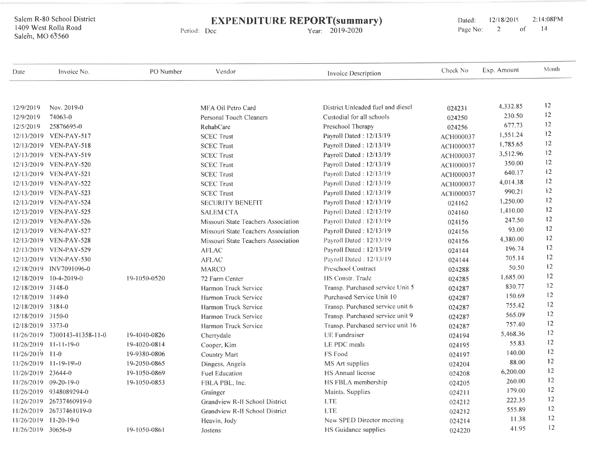# EXPENDITURE REPORT(summary)

Period: Dec

Year: 2019-2020

Dated: 12/18/2015 2:14:08PM<br>Page No: 2 of 14 Page No:

| Date               | Invoice No.              | PO Number    | Vendor                              | Invoice Description               | Check No  | Exp. Amount | Month |
|--------------------|--------------------------|--------------|-------------------------------------|-----------------------------------|-----------|-------------|-------|
| 12/9/2019          | Nov. 2019-0              |              | MFA Oil Petro Card                  | District Unleaded fuel and diesel | 024231    | 4.332.85    | 12    |
| 12/9/2019          | 74063-0                  |              | Personal Touch Cleaners             | Custodial for all schools         | 024250    | 230.50      | 12    |
| 12/5/2019          | 25876695-0               |              | <b>RehabCare</b>                    | Preschool Therapy                 | 024256    | 677.73      | 12    |
|                    | 12/13/2019 VEN-PAY-517   |              | <b>SCEC Trust</b>                   | Payroll Dated: 12/13/19           | ACH000037 | 1,551.24    | 12    |
|                    | 12/13/2019 VEN-PAY-518   |              | <b>SCEC Trust</b>                   | Payroll Dated: 12/13/19           | ACH000037 | 1.785.65    | 12    |
|                    | 12/13/2019 VEN-PAY-519   |              | <b>SCEC Trust</b>                   | Payroll Dated: 12/13/19           | ACH000037 | 3,512.96    | 12    |
|                    | 12/13/2019 VEN-PAY-520   |              | <b>SCEC Trust</b>                   | Payroll Dated: 12/13/19           | ACH000037 | 350.00      | 12    |
|                    | 12/13/2019 VEN-PAY-521   |              | <b>SCEC Trust</b>                   | Payroll Dated: 12/13/19           | ACH000037 | 640.17      | 12    |
|                    | 12/13/2019 VEN-PAY-522   |              | <b>SCEC Trust</b>                   | Payroll Dated: 12/13/19           | ACH000037 | 4,014.38    | 12    |
|                    | 12/13/2019 VEN-PAY-523   |              | <b>SCEC Trust</b>                   | Payroll Dated: 12/13/19           | ACH000037 | 990.21      | 12    |
|                    | 12/13/2019 VEN-PAY-524   |              | <b>SECURITY BENEFIT</b>             | Payroll Dated: 12/13/19           | 024162    | 1,250.00    | 12    |
|                    | 12/13/2019 VEN-PAY-525   |              | <b>SALEM CTA</b>                    | Payroll Dated: 12/13/19           | 024160    | 1,410.00    | 12    |
|                    | 12/13/2019 VEN-PAY-526   |              | Missouri State Teachers Association | Payroll Dated: 12/13/19           | 024156    | 247.50      | 12    |
|                    | 12/13/2019 VEN-PAY-527   |              | Missouri State Teachers Association | Payroll Dated: 12/13/19           | 024156    | 93.00       | 12    |
|                    | 12/13/2019 VEN-PAY-528   |              | Missouri State Teachers Association | Payroll Dated: 12/13/19           | 024156    | 4,380.00    | 12    |
|                    | 12/13/2019 VEN-PAY-529   |              | <b>AFLAC</b>                        | Payroll Dated: 12/13/19           | 024144    | 196.74      | 12    |
|                    | 12/13/2019 VEN-PAY-530   |              | <b>AFLAC</b>                        | Payroll Dated: 12/13/19           | 024144    | 705.14      | 12    |
| 12/18/2019         | INV7091096-0             |              | <b>MARCO</b>                        | Preschool Contract                | 024288    | 50.50       | 12    |
| 12/18/2019         | $10-4-2019-0$            | 19-1050-0520 | 72 Farm Center                      | HS Constr. Trade                  | 024285    | 1,685.00    | 12    |
| 12/18/2019 3148-0  |                          |              | Harmon Truck Service                | Transp. Purchased service Unit 5  | 024287    | 830.77      | 12    |
| 12/18/2019 3149-0  |                          |              | Harmon Truck Service                | Purchased Service Unit 10         | 024287    | 150.69      | 12    |
| 12/18/2019 3184-0  |                          |              | Harmon Truck Service                | Transp. Purchased service unit 6  | 024287    | 755.42      | 12    |
| 12/18/2019 3150-0  |                          |              | Harmon Truck Service                | Transp. Purchased service unit 9  | 024287    | 565.09      | 12    |
| 12/18/2019 3373-0  |                          |              | Harmon Truck Service                | Transp. Purchased service unit 16 | 024287    | 757.40      | 12    |
| 11/26/2019         | 7300143-41358-11-0       | 19-4040-0826 | Cherrydale                          | <b>UE</b> Fundraiser              | 024194    | 5,468.36    | 12    |
|                    | $11/26/2019$ 11-11-19-0  | 19-4020-0814 | Cooper, Kim                         | LE PDC meals                      | 024195    | 55.83       | 12    |
| 11/26/2019         | $11-0$                   | 19-9380-0806 | Country Mart                        | FS Food                           | 024197    | 140.00      | 12    |
| 11/26/2019         | $11 - 19 - 19 - 0$       | 19-2050-0865 | Dingess, Angela                     | MS Art supplies                   | 024204    | 88.00       | 12    |
| 11/26/2019 23644-0 |                          | 19-1050-0869 | <b>Fuel Education</b>               | HS Annual license                 | 024208    | 6,200.00    | 12    |
|                    | 11/26/2019 09-20-19-0    | 19-1050-0853 | FBLA PBL, Inc.                      | HS FBLA membership                | 024205    | 260.00      | 12    |
|                    | 11/26/2019 9348089294-0  |              | Grainger                            | Maints. Supplies                  | 024211    | 179.00      | 12    |
|                    | 11/26/2019 26737460919-0 |              | Grandview R-H School District       | <b>LTE</b>                        | 024212    | 222.35      | 12    |
|                    | 11/26/2019 26737461019-0 |              | Grandview R-II School District      | <b>LTE</b>                        | 024212    | 555.89      | 12    |
| 11/26/2019         | $11 - 20 - 19 - 0$       |              | Heavin, Jody                        | New SPED Director meeting         | 024214    | 11.38       | 12    |
| 11/26/2019 30656-0 |                          | 19-1050-0861 | Jostens                             | HS Guidance supplies              | 024220    | 41.95       | 12    |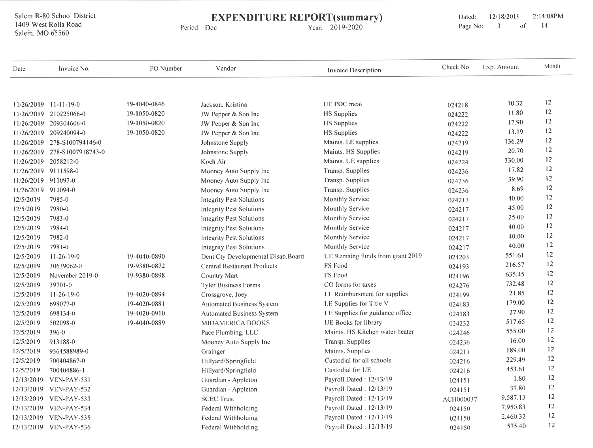**EXPENDITURE REPORT(summary)** 

Period: Dec

Year: 2019-2020

| Date                 | Invoice No.             | PO Number    | Vendor                             | <b>Invoice Description</b>       | Check No  | Exp. Amount | Month |
|----------------------|-------------------------|--------------|------------------------------------|----------------------------------|-----------|-------------|-------|
|                      | $11/26/2019$ 11-11-19-0 | 19-4040-0846 | Jackson, Kristina                  | UE PDC meal                      | 024218    | 10.32       | 12    |
| 11/26/2019           | 210225066-0             | 19-1050-0820 | JW Pepper & Son Inc                | <b>HS</b> Supplies               | 024222    | 11.80       | 12    |
| 11/26/2019           | 209304606-0             | 19-1050-0820 | JW Pepper & Son Inc                | <b>HS</b> Supplies               | 024222    | 17.90       | 12    |
| 11/26/2019           | 209240094-0             | 19-1050-0820 | JW Pepper & Son Inc                | <b>HS</b> Supplies               | 024222    | 13.19       | 12    |
| 11/26/2019           | 278-S100794146-0        |              | Johnstone Supply                   | Maints. LE supplies              | 024219    | 136.29      | 12    |
| 11/26/2019           | 278-S1007918743-0       |              | Johnstone Supply                   | Maints. HS Supplies              | 024219    | 20.70       | 12    |
| 11/26/2019           | 2058212-0               |              | Koch Air                           | Maints. UE supplies              | 024224    | 330.00      | 12    |
| 11/26/2019 9111598-0 |                         |              | Mooney Auto Supply Inc             | Transp. Supplies                 | 024236    | 17.82       | 12    |
| 11/26/2019 911097-0  |                         |              | Mooney Auto Supply Inc             | Transp. Supplies                 | 024236    | 39.90       | 12    |
| 11/26/2019 911094-0  |                         |              | Mooney Auto Supply Inc             | Transp. Supplies                 | 024236    | 8.69        | 12    |
| 12/5/2019            | 7985-0                  |              | <b>Integrity Pest Solutions</b>    | Monthly Service                  | 024217    | 40.00       | 12    |
| 12/5/2019            | 7980-0                  |              | <b>Integrity Pest Solutions</b>    | Monthly Service                  | 024217    | 45.00       | 12    |
| 12/5/2019            | 7983-0                  |              | <b>Integrity Pest Solutions</b>    | Monthly Service                  | 024217    | 25.00       | 12    |
| 12/5/2019            | 7984-0                  |              | <b>Integrity Pest Solutions</b>    | Monthly Service                  | 024217    | 40.00       | 12    |
| 12/5/2019            | 7982-0                  |              | <b>Integrity Pest Solutions</b>    | Monthly Service                  | 024217    | 40.00       | 12    |
| 12/5/2019            | 7981-0                  |              | <b>Integrity Pest Solutions</b>    | <b>Monthly Service</b>           | 024217    | 40.00       | 12    |
| 12/5/2019            | $11-26-19-0$            | 19-4040-0890 | Dent Cty Developmental Disab.Board | UE Remaing funds from grant 2019 | 024203    | 551.61      | 12    |
| 12/5/2019            | 30639062-0              | 19-9380-0872 | <b>Central Restaurant Products</b> | FS Food                          | 024193    | 216.57      | 12    |
| 12/5/2019            | November 2019-0         | 19-9380-0898 | <b>Country Mart</b>                | FS Food                          | 024196    | 635.45      | 12    |
| 12/5/2019            | $39701 - 0$             |              | <b>Tyler Business Forms</b>        | CO forms for taxes               | 024276    | 732.48      | 12    |
| 12/5/2019            | $11-26-19-0$            | 19-4020-0894 | Crossgrove, Joey                   | LE Reimbursment for supplies     | 024199    | 21.85       | 12    |
| 12/5/2019            | 698077-0                | 19-4020-0881 | <b>Automated Business System</b>   | LE Supplies for Title V          | 024183    | 179.00      | 12    |
| 12/5/2019            | 698134-0                | 19-4020-0910 | Automated Business System          | LE Supplies for guidance office  | 024183    | 27.90       | 12    |
| 12/5/2019            | 502098-0                | 19-4040-0889 | <b>MIDAMERICA BOOKS</b>            | <b>UE Books for library</b>      | 024232    | 517.65      | 12    |
| 12/5/2019            | $396 - 0$               |              | Pace Plumbing, LLC                 | Maints. HS Kitchen water heater  | 024246    | 555.00      | 12    |
| 12/5/2019            | 913188-0                |              | Mooney Auto Supply Inc             | Transp. Supplies                 | 024236    | 16.00       | 12    |
| 12/5/2019            | 9364588989-0            |              | Grainger                           | Maints. Supplies                 | 024211    | 189.00      | 12    |
| 12/5/2019            | 700404867-0             |              | Hillyard/Springfield               | Custodial for all schools        | 024216    | 229.49      | 12    |
| 12/5/2019            | 700404886-1             |              | Hillyard/Springfield               | Custodial for UE                 | 024216    | 453.61      | 12    |
| 12/13/2019           | VEN-PAY-531             |              | Guardian - Appleton                | Payroll Dated: 12/13/19          | 024151    | 1.80        | 12    |
| 12/13/2019           | VEN-PAY-532             |              | Guardian - Appleton                | Payroll Dated: 12/13/19          | 024151    | 37.80       | 12    |
|                      | 12/13/2019 VEN-PAY-533  |              | <b>SCEC Trust</b>                  | Payroll Dated: 12/13/19          | ACH000037 | 9,587.13    | 12    |
|                      | 12/13/2019 VEN-PAY-534  |              | Federal Withholding                | Payroll Dated: 12/13/19          | 024150    | 7,950.83    | 12    |
|                      | 12/13/2019 VEN-PAY-535  |              | Federal Withholding                | Payroll Dated: 12/13/19          | 024150    | 2,460.32    | 12    |
|                      | 12/13/2019 VEN-PAY-536  |              | Federal Withholding                | Payroll Dated: 12/13/19          | 024150    | 575.40      | 12    |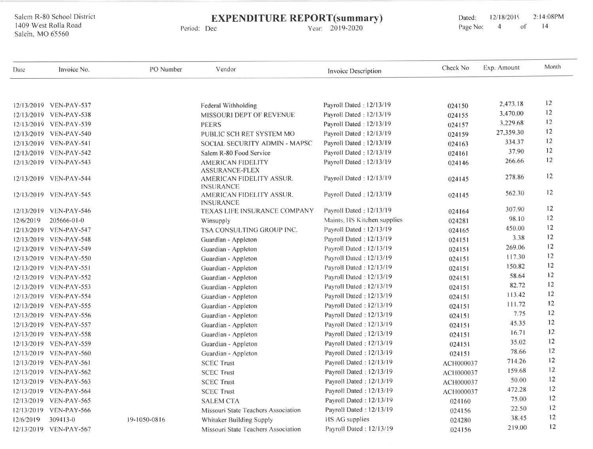# EXPENDITURE REPORT(summary)

Period: Dec

Year: 2019-2020

Dated: 12/18/2019 2:14:08PM<br>Page No: 4 of 14 Page No:

| Date      | Invoice No.            | PO Number    | Vendor                                       | Invoice Description         | Check No  | Exp. Amount | Month |
|-----------|------------------------|--------------|----------------------------------------------|-----------------------------|-----------|-------------|-------|
|           |                        |              |                                              |                             |           |             |       |
|           | 12/13/2019 VEN-PAY-537 |              | Federal Withholding                          | Payroll Dated: 12/13/19     | 024150    | 2,473.18    | 12    |
|           | 12/13/2019 VEN-PAY-538 |              | MISSOURI DEPT OF REVENUE                     | Payroll Dated: 12/13/19     | 024155    | 3,470.00    | 12    |
|           | 12/13/2019 VEN-PAY-539 |              | <b>PEERS</b>                                 | Payroll Dated: 12/13/19     | 024157    | 3,229.68    | 12    |
|           | 12/13/2019 VEN-PAY-540 |              | PUBLIC SCH RET SYSTEM MO                     | Payroll Dated: 12/13/19     | 024159    | 27,359.30   | 12    |
|           | 12/13/2019 VEN-PAY-541 |              | SOCIAL SECURITY ADMIN - MAPSC                | Payroll Dated: 12/13/19     | 024163    | 334.37      | 12    |
|           | 12/13/2019 VEN-PAY-542 |              | Salem R-80 Food Service                      | Payroll Dated: 12/13/19     | 024161    | 37.90       | 12    |
|           | 12/13/2019 VEN-PAY-543 |              | AMERICAN FIDELITY<br><b>ASSURANCE-FLEX</b>   | Payroll Dated: 12/13/19     | 024146    | 266.66      | 12    |
|           | 12/13/2019 VEN-PAY-544 |              | AMERICAN FIDELITY ASSUR.<br><b>INSURANCE</b> | Payroll Dated: 12/13/19     | 024145    | 278.86      | 12    |
|           | 12/13/2019 VEN-PAY-545 |              | AMERICAN FIDELITY ASSUR.<br><b>INSURANCE</b> | Payroll Dated: 12/13/19     | 024145    | 562.30      | 12    |
|           | 12/13/2019 VEN-PAY-546 |              | TEXAS LIFE INSURANCE COMPANY                 | Payroll Dated: 12/13/19     | 024164    | 307.90      | 12    |
| 12/6/2019 | 205666-01-0            |              | Winsupply                                    | Maints. HS Kitchen supplies | 024281    | 98.10       | 12    |
|           | 12/13/2019 VEN-PAY-547 |              | TSA CONSULTING GROUP INC.                    | Payroll Dated: 12/13/19     | 024165    | 450.00      | 12    |
|           | 12/13/2019 VEN-PAY-548 |              | Guardian - Appleton                          | Payroll Dated: 12/13/19     | 024151    | 3.38        | 12    |
|           | 12/13/2019 VEN-PAY-549 |              | Guardian - Appleton                          | Payroll Dated : 12/13/19    | 024151    | 269.06      | 12    |
|           | 12/13/2019 VEN-PAY-550 |              | Guardian - Appleton                          | Payroll Dated: 12/13/19     | 024151    | 117.30      | 12    |
|           | 12/13/2019 VEN-PAY-551 |              | Guardian - Appleton                          | Payroll Dated : 12/13/19    | 024151    | 150.82      | 12    |
|           | 12/13/2019 VEN-PAY-552 |              | Guardian - Appleton                          | Payroll Dated: 12/13/19     | 024151    | 58.64       | 12    |
|           | 12/13/2019 VEN-PAY-553 |              | Guardian - Appleton                          | Payroll Dated: 12/13/19     | 024151    | 82.72       | 12    |
|           | 12/13/2019 VEN-PAY-554 |              | Guardian - Appleton                          | Payroll Dated: 12/13/19     | 024151    | 113.42      | 12    |
|           | 12/13/2019 VEN-PAY-555 |              | Guardian - Appleton                          | Payroll Dated: 12/13/19     | 024151    | 111.72      | 12    |
|           | 12/13/2019 VEN-PAY-556 |              | Guardian - Appleton                          | Payroll Dated: 12/13/19     | 024151    | 7.75        | 12    |
|           | 12/13/2019 VEN-PAY-557 |              | Guardian - Appleton                          | Payroll Dated: 12/13/19     | 024151    | 45.35       | 12    |
|           | 12/13/2019 VEN-PAY-558 |              | Guardian - Appleton                          | Payroll Dated: 12/13/19     | 024151    | 16.71       | 12    |
|           | 12/13/2019 VEN-PAY-559 |              | Guardian - Appleton                          | Payroll Dated: 12/13/19     | 024151    | 35.02       | 12    |
|           | 12/13/2019 VEN-PAY-560 |              | Guardian - Appleton                          | Payroll Dated: 12/13/19     | 024151    | 78.66       | 12    |
|           | 12/13/2019 VEN-PAY-561 |              | <b>SCEC Trust</b>                            | Payroll Dated: 12/13/19     | ACH000037 | 714.26      | 12    |
|           | 12/13/2019 VEN-PAY-562 |              | <b>SCEC Trust</b>                            | Payroll Dated: 12/13/19     | ACH000037 | 159.68      | 12    |
|           | 12/13/2019 VEN-PAY-563 |              | <b>SCEC Trust</b>                            | Payroll Dated: 12/13/19     | ACH000037 | 50.00       | 12    |
|           | 12/13/2019 VEN-PAY-564 |              | <b>SCEC Trust</b>                            | Payroll Dated: 12/13/19     | ACH000037 | 472.28      | 12    |
|           | 12/13/2019 VEN-PAY-565 |              | <b>SALEM CTA</b>                             | Payroll Dated: 12/13/19     | 024160    | 75.00       | 12    |
|           | 12/13/2019 VEN-PAY-566 |              | Missouri State Teachers Association          | Payroll Dated : 12/13/19    | 024156    | 22.50       | 12    |
| 12/6/2019 | 309413-0               | 19-1050-0816 | Whitaker Building Supply                     | HS AG supplies              | 024280    | 38.45       | 12    |
|           | 12/13/2019 VEN-PAY-567 |              | Missouri State Teachers Association          | Payroll Dated: 12/13/19     | 024156    | 219.00      | 12    |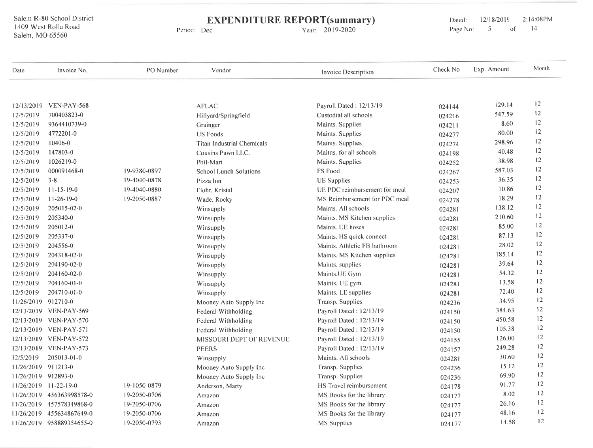# **EXPENDITURE REPORT(summary)**<br>Vear: 2019-2020 Period: Dec

| Date                   | Invoice No.               | PO Number    | Vendor                            | Invoice Description           | Check No | Exp. Amount | Month |
|------------------------|---------------------------|--------------|-----------------------------------|-------------------------------|----------|-------------|-------|
|                        |                           |              |                                   |                               |          | 129.14      | 12    |
|                        | 12/13/2019 VEN-PAY-568    |              | <b>AFLAC</b>                      | Payroll Dated: 12/13/19       | 024144   | 547.59      | 12    |
| 12/5/2019              | 700403823-0               |              | Hillyard/Springfield              | Custodial all schools         | 024216   | 8.60        | 12    |
| 12/5/2019<br>12/5/2019 | 9364410739-0<br>4772201-0 |              | Grainger                          | Maints. Supplies              | 024211   | 80.00       | 12    |
|                        |                           |              | <b>US Foods</b>                   | Maints. Supplies              | 024277   | 298.96      | 12    |
| 12/5/2019              | 10406-0                   |              | <b>Titan Industrial Chemicals</b> | Maints. Supplies              | 024274   | 40.48       | 12    |
| 12/5/2019              | 147803-0                  |              | Cousins Pawn LLC.                 | Maitns. for all schools       | 024198   | 38.98       | 12    |
| 12/5/2019              | 1026219-0                 |              | Phil-Mart                         | Maints. Supplies              | 024252   |             | 12    |
| 12/5/2019              | 000091468-0               | 19-9380-0897 | <b>School Lunch Solutions</b>     | FS Food                       | 024267   | 587.03      | 12    |
| 12/5/2019              | $3 - 8$                   | 19-4040-0878 | Pizza Inn                         | <b>UE</b> Supplies            | 024253   | 36.35       |       |
| 12/5/2019              | $11 - 15 - 19 - 0$        | 19-4040-0880 | Flohr, Kristal                    | UE PDC reimbursement for meal | 024207   | 10.86       | 12    |
| 12/5/2019              | $11-26-19-0$              | 19-2050-0887 | Wade, Rocky                       | MS Reimbursement for PDC meal | 024278   | 18.29       | 12    |
| 12/5/2019              | 205015-02-0               |              | Winsupply                         | Maints. All schools           | 024281   | 138.12      | 12    |
| 12/5/2019              | 205340-0                  |              | Winsupply                         | Maints. MS Kitchen supplies   | 024281   | 210.60      | 12    |
| 12/5/2019              | 205012-0                  |              | Winsupply                         | Maints. UE hoses              | 024281   | 85.00       | 12    |
| 12/5/2019              | 205337-0                  |              | Winsupply                         | Maints. HS quick connect      | 024281   | 87.13       | 12    |
| 12/5/2019              | 204556-0                  |              | Winsupply                         | Maints. Athletic FB bathroom  | 024281   | 28.02       | 12    |
| 12/5/2019              | 204318-02-0               |              | Winsupply                         | Maints. MS Kitchen supplies   | 024281   | 185.14      | 12    |
| 12/5/2019              | 204190-02-0               |              | Winsupply                         | Maints. supplies              | 024281   | 39.64       | 12    |
| 12/5/2019              | 204160-02-0               |              | Winsupply                         | Maints.UE Gym                 | 024281   | 54.32       | 12    |
| 12/5/2019              | $204160 - 01 - 0$         |              | Winsupply                         | Maints. UE gym                | 024281   | 13.58       | 12    |
| 12/5/2019              | 204710-01-0               |              | Winsupply                         | Maints. LE supplies           | 024281   | 72.40       | 12    |
| 11/26/2019 912710-0    |                           |              | Mooney Auto Supply Inc            | Transp. Supplies              | 024236   | 34.95       | 12    |
|                        | 12/13/2019 VEN-PAY-569    |              | Federal Withholding               | Payroll Dated: 12/13/19       | 024150   | 384.63      | 12    |
|                        | 12/13/2019 VEN-PAY-570    |              | Federal Withholding               | Payroll Dated: 12/13/19       | 024150   | 450.58      | 12    |
|                        | 12/13/2019 VEN-PAY-571    |              | Federal Withholding               | Payroll Dated: 12/13/19       | 024150   | 105.38      | 12    |
|                        | 12/13/2019 VEN-PAY-572    |              | <b>MISSOURI DEPT OF REVENUE</b>   | Payroll Dated: 12/13/19       | 024155   | 126.00      | 12    |
|                        | 12/13/2019 VEN-PAY-573    |              | <b>PEERS</b>                      | Payroll Dated: 12/13/19       | 024157   | 249.28      | 12    |
| 12/5/2019              | 205013-01-0               |              | Winsupply                         | Maints. All schools           | 024281   | 30.60       | 12    |
| 11/26/2019 911213-0    |                           |              | Mooney Auto Supply Inc            | Transp. Supplies              | 024236   | 15.12       | 12    |
| 11/26/2019 912893-0    |                           |              | Mooney Auto Supply Inc            | Transp. Supplies              | 024236   | 69.90       | 12    |
|                        | $11/26/2019$ 11-22-19-0   | 19-1050-0879 | Anderson, Marty                   | HS Travel reimbursement       | 024178   | 91.77       | 12    |
|                        | 11/26/2019 456363998578-0 | 19-2050-0706 | Amazon                            | MS Books for the library      | 024177   | 8.02        | 12    |
| 11/26/2019             | 457578349868-0            | 19-2050-0706 | Amazon                            | MS Books for the library      | 024177   | 26.16       | 12    |
| 11/26/2019             | 455634867649-0            | 19-2050-0706 | Amazon                            | MS Books for the library      | 024177   | 48.16       | 12    |
|                        | 11/26/2019 958889354655-0 | 19-2050-0793 | Amazon                            | MS Supplies                   | 024177   | 14.58       | 12    |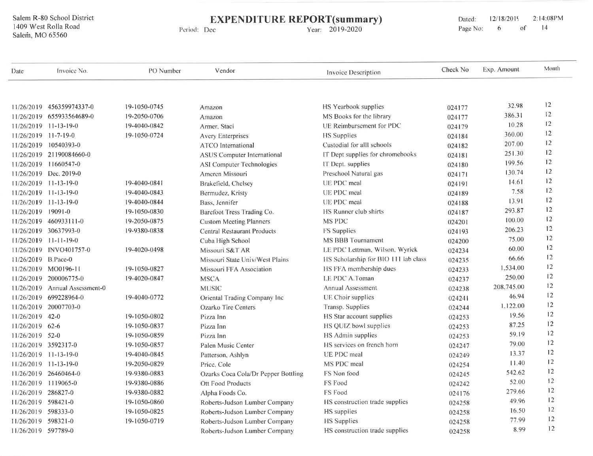#### **EXPENDITURE REPORT(summary)** Period: Dec

Year: 2019-2020

2:14:08PM Dated: 12/18/2019  $14$ Page No: 6  $of$ 

| Date                 | Invoice No.                    | PO Number    | Vendor                              | Invoice Description                  | Check No | Exp. Amount | Month |
|----------------------|--------------------------------|--------------|-------------------------------------|--------------------------------------|----------|-------------|-------|
|                      |                                |              |                                     |                                      |          | 32.98       | 12    |
|                      | 11/26/2019 456359974337-0      | 19-1050-0745 | Amazon                              | HS Yearbook supplies                 | 024177   | 386.31      | 12    |
|                      | 11/26/2019 655933564689-0      | 19-2050-0706 | Amazon                              | MS Books for the library             | 024177   | 10.28       | 12    |
|                      | 11/26/2019 11-13-19-0          | 19-4040-0842 | Armer, Staci                        | UE Reimbursement for PDC             | 024179   | 360.00      | 12    |
| 11/26/2019 11-7-19-0 |                                | 19-1050-0724 | <b>Avery Enterprises</b>            | <b>HS</b> Supplies                   | 024184   | 207.00      | 12    |
|                      | 11/26/2019 10540393-0          |              | <b>ATCO</b> International           | Custodial for alll schools           | 024182   | 251.30      | 12    |
|                      | 11/26/2019 21190084660-0       |              | <b>ASUS</b> Computer International  | IT Dept supplies for chromebooks     | 024181   |             | 12    |
|                      | 11/26/2019 11660547-0          |              | ASI Computer Technologies           | IT Dept. supplies                    | 024180   | 199.56      | 12    |
|                      | 11/26/2019 Dec. 2019-0         |              | Ameren Missouri                     | Preschool Natural gas                | 024171   | 130.74      | 12    |
|                      | 11/26/2019 11-13-19-0          | 19-4040-0841 | Brakefield, Chelsey                 | UE PDC meal                          | 024191   | 14.61       | 12    |
|                      | $11/26/2019$ 11-13-19-0        | 19-4040-0843 | Bermudez, Kristy                    | UE PDC meal                          | 024189   | 7.58        |       |
|                      | $11/26/2019$ 11-13-19-0        | 19-4040-0844 | Bass, Jennifer                      | UE PDC meal                          | 024188   | 13.91       | 12    |
| 11/26/2019 19091-0   |                                | 19-1050-0830 | Barefoot Tress Trading Co.          | HS Runner club shirts                | 024187   | 293.87      | 12    |
|                      | 11/26/2019 460933111-0         | 19-2050-0875 | <b>Custom Meeting Planners</b>      | MS PDC                               | 024201   | 100.00      | 12    |
|                      | 11/26/2019 30637993-0          | 19-9380-0838 | <b>Central Restaurant Products</b>  | FS Supplies                          | 024193   | 206.23      | 12    |
|                      | $11/26/2019$ 11-11-19-0        |              | Cuba High School                    | MS BBB Tournament                    | 024200   | 75.00       | 12    |
|                      | 11/26/2019 INVO401757-0        | 19-4020-0498 | Missouri S&T AR                     | LE PDC Lettman, Wilson, Wyrick       | 024234   | 60.00       | 12    |
| 11/26/2019 B.Pace-0  |                                |              | Missouri State Univ/West Plains     | HS Scholarship for BIO 111 lab class | 024235   | 66.66       | 12    |
|                      | 11/26/2019 MO0196-11           | 19-1050-0827 | Missouri FFA Association            | HS FFA membership dues               | 024233   | 1.534.00    | 12    |
|                      | 11/26/2019 200006775-0         | 19-4020-0847 | <b>MSCA</b>                         | LE PDC A.Toman                       | 024237   | 250.00      | 12    |
|                      | 11/26/2019 Annual Assessment-0 |              | <b>MUSIC</b>                        | <b>Annual Assessment</b>             | 024238   | 208,745.00  | 12    |
|                      | 11/26/2019 699228964-0         | 19-4040-0772 | Oriental Trading Company Inc        | UE Choir supplies                    | 024241   | 46.94       | 12    |
|                      | 11/26/2019 20007703-0          |              | Ozarko Tire Centers                 | Transp. Supplies                     | 024244   | 1,122.00    | 12    |
| 11/26/2019 42-0      |                                | 19-1050-0802 | Pizza Inn                           | HS Star account supplies             | 024253   | 19.56       | 12    |
| 11/26/2019 62-6      |                                | 19-1050-0837 | Pizza Inn                           | HS QUIZ bowl supplies                | 024253   | 87.25       | 12    |
| 11/26/2019 52-0      |                                | 19-1050-0859 | Pizza Inn                           | HS Admin supplies                    | 024253   | 59.19       | 12    |
|                      | 11/26/2019 3592317-0           | 19-1050-0857 | Palen Music Center                  | HS services on french horn           | 024247   | 79.00       | 12    |
|                      | 11/26/2019 11-13-19-0          | 19-4040-0845 | Patterson, Ashlyn                   | UE PDC meal                          | 024249   | 13.37       | 12    |
|                      | 11/26/2019 11-13-19-0          | 19-2050-0829 | Price, Cole                         | MS PDC meal                          | 024254   | 11.40       | 12    |
|                      | 11/26/2019 26460464-0          | 19-9380-0883 | Ozarks Coca Cola/Dr Pepper Bottling | FS Non food                          | 024245   | 542.62      | 12    |
|                      | 11/26/2019 1119065-0           | 19-9380-0886 | Ott Food Products                   | FS Food                              | 024242   | 52.00       | 12    |
| 11/26/2019 286827-0  |                                | 19-9380-0882 | Alpha Foods Co.                     | FS Food                              | 024176   | 279.66      | 12    |
| 11/26/2019 598421-0  |                                | 19-1050-0860 | Roberts-Judson Lumber Company       | HS construction trade supplies       | 024258   | 49.96       | 12    |
| 11/26/2019 598333-0  |                                | 19-1050-0825 | Roberts-Judson Lumber Company       | HS supplies                          | 024258   | 16.50       | 12    |
| 11/26/2019 598321-0  |                                | 19-1050-0719 | Roberts-Judson Lumber Company       | <b>HS</b> Supplies                   | 024258   | 77.99       | 12    |
| 11/26/2019 597789-0  |                                |              | Roberts-Judson Lumber Company       | HS construction trade supplies       | 024258   | 8.99        | 12    |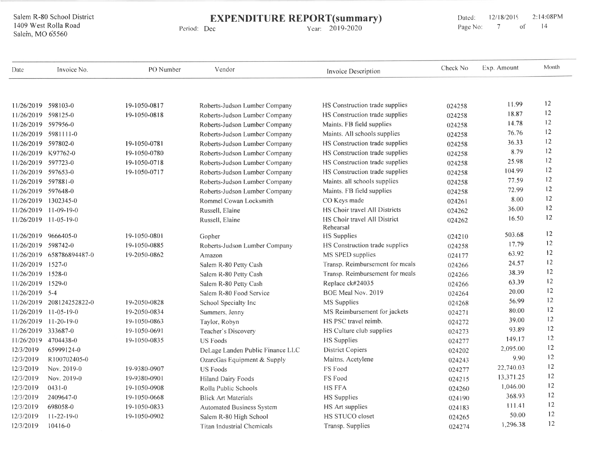EXPENDITURE REPORT(summary)

Period: Dec

Year: 2019-2020

Dated: 12/18/2019 2:14:08PM<br>Page No: 7 of 14 Page No:

| Date                | Invoice No.               | PO Number    | Vendor                            | <b>Invoice Description</b>                | Check No | Exp. Amount | Month |
|---------------------|---------------------------|--------------|-----------------------------------|-------------------------------------------|----------|-------------|-------|
|                     |                           |              |                                   |                                           |          |             |       |
| 11/26/2019 598103-0 |                           | 19-1050-0817 | Roberts-Judson Lumber Company     | HS Construction trade supplies            | 024258   | 11.99       | 12    |
| 11/26/2019 598125-0 |                           | 19-1050-0818 | Roberts-Judson Lumber Company     | HS Construction trade supplies            | 024258   | 18.87       | 12    |
| 11/26/2019 597956-0 |                           |              | Roberts-Judson Lumber Company     | Maints. FB field supplies                 | 024258   | 14.78       | 12    |
|                     | 11/26/2019 5981111-0      |              | Roberts-Judson Lumber Company     | Maints. All schools supplies              | 024258   | 76.76       | 12    |
| 11/26/2019 597802-0 |                           | 19-1050-0781 | Roberts-Judson Lumber Company     | HS Construction trade supplies            | 024258   | 36.33       | 12    |
| 11/26/2019 K97762-0 |                           | 19-1050-0780 | Roberts-Judson Lumber Company     | HS Construction trade supplies            | 024258   | 8.79        | 12    |
| 11/26/2019 597723-0 |                           | 19-1050-0718 | Roberts-Judson Lumber Company     | HS Construction trade supplies            | 024258   | 25.98       | 12    |
| 11/26/2019 597653-0 |                           | 19-1050-0717 | Roberts-Judson Lumber Company     | HS Construction trade supplies            | 024258   | 104.99      | 12    |
| 11/26/2019 597881-0 |                           |              | Roberts-Judson Lumber Company     | Maints. all schools supplies              | 024258   | 77.59       | 12    |
| 11/26/2019 597648-0 |                           |              | Roberts-Judson Lumber Company     | Maints. FB field supplies                 | 024258   | 72.99       | 12    |
|                     | 11/26/2019 1302345-0      |              | Rommel Cowan Locksmith            | CO Keys made                              | 024261   | 8.00        | 12    |
|                     | 11/26/2019 11-09-19-0     |              | Russell, Elaine                   | HS Choir travel All Districts             | 024262   | 36.00       | 12    |
|                     | 11/26/2019 11-05-19-0     |              | Russell, Elaine                   | HS Choir travel All District<br>Rehearsal | 024262   | 16.50       | 12    |
|                     | 11/26/2019 9666405-0      | 19-1050-0801 | Gopher                            | <b>HS</b> Supplies                        | 024210   | 503.68      | 12    |
| 11/26/2019 598742-0 |                           | 19-1050-0885 | Roberts-Judson Lumber Company     | HS Construction trade supplies            | 024258   | 17.79       | 12    |
|                     | 11/26/2019 658786894487-0 | 19-2050-0862 | Amazon                            | MS SPED supplies                          | 024177   | 63.92       | 12    |
| 11/26/2019          | $1527 - 0$                |              | Salem R-80 Petty Cash             | Transp. Reimbursement for meals           | 024266   | 24.57       | 12    |
| 11/26/2019          | $1528-0$                  |              | Salem R-80 Petty Cash             | Transp. Reimbursement for meals           | 024266   | 38.39       | 12    |
| 11/26/2019          | $1529-0$                  |              | Salem R-80 Petty Cash             | Replace ck#24035                          | 024266   | 63.39       | 12    |
| 11/26/2019 5-4      |                           |              | Salem R-80 Food Service           | BOE Meal Nov. 2019                        | 024264   | 20.00       | 12    |
| 11/26/2019          | 208124252822-0            | 19-2050-0828 | School Specialty Inc              | MS Supplies                               | 024268   | 56.99       | 12    |
| 11/26/2019          | $11 - 05 - 19 - 0$        | 19-2050-0834 | Summers, Jenny                    | MS Reimbursement for jackets              | 024271   | 80.00       | 12    |
| 11/26/2019          | $11-20-19-0$              | 19-1050-0863 | Taylor, Robyn                     | HS PSC travel reimb.                      | 024272   | 39.00       | 12    |
| 11/26/2019 333687-0 |                           | 19-1050-0691 | Teacher's Discovery               | HS Culture club supplies                  | 024273   | 93.89       | 12    |
|                     | 11/26/2019 4704438-0      | 19-1050-0835 | <b>US Foods</b>                   | HS Supplies                               | 024277   | 149.17      | 12    |
| 12/3/2019           | 65999124-0                |              | DeLage Landen Public Finance LLC  | <b>District Copiers</b>                   | 024202   | 2,095.00    | 12    |
| 12/3/2019           | R100702405-0              |              | OzarcGas Equipment & Supply       | Maitns. Acetylene                         | 024243   | 9.90        | 12    |
| 12/3/2019           | Nov. 2019-0               | 19-9380-0907 | <b>US Foods</b>                   | FS Food                                   | 024277   | 22,740.03   | 12    |
| 12/3/2019           | Nov. 2019-0               | 19-9380-0901 | <b>Hiland Dairy Foods</b>         | FS Food                                   | 024215   | 13,371.25   | 12    |
| 12/3/2019           | $0431 - 0$                | 19-1050-0908 | Rolla Public Schools              | <b>HS FFA</b>                             | 024260   | 1,046.00    | 12    |
| 12/3/2019           | 2409647-0                 | 19-1050-0668 | <b>Blick Art Materials</b>        | <b>HS</b> Supplies                        | 024190   | 368.93      | 12    |
| 12/3/2019           | 698058-0                  | 19-1050-0833 | Automated Business System         | HS Art supplies                           | 024183   | 111.41      | 12    |
| 12/3/2019           | $11 - 22 - 19 - 0$        | 19-1050-0902 | Salem R-80 High School            | <b>HS STUCO closet</b>                    | 024265   | 50.00       | 12    |
| 12/3/2019           | $10416 - 0$               |              | <b>Titan Industrial Chemicals</b> | Transp. Supplies                          | 024274   | 1,296.38    | 12    |